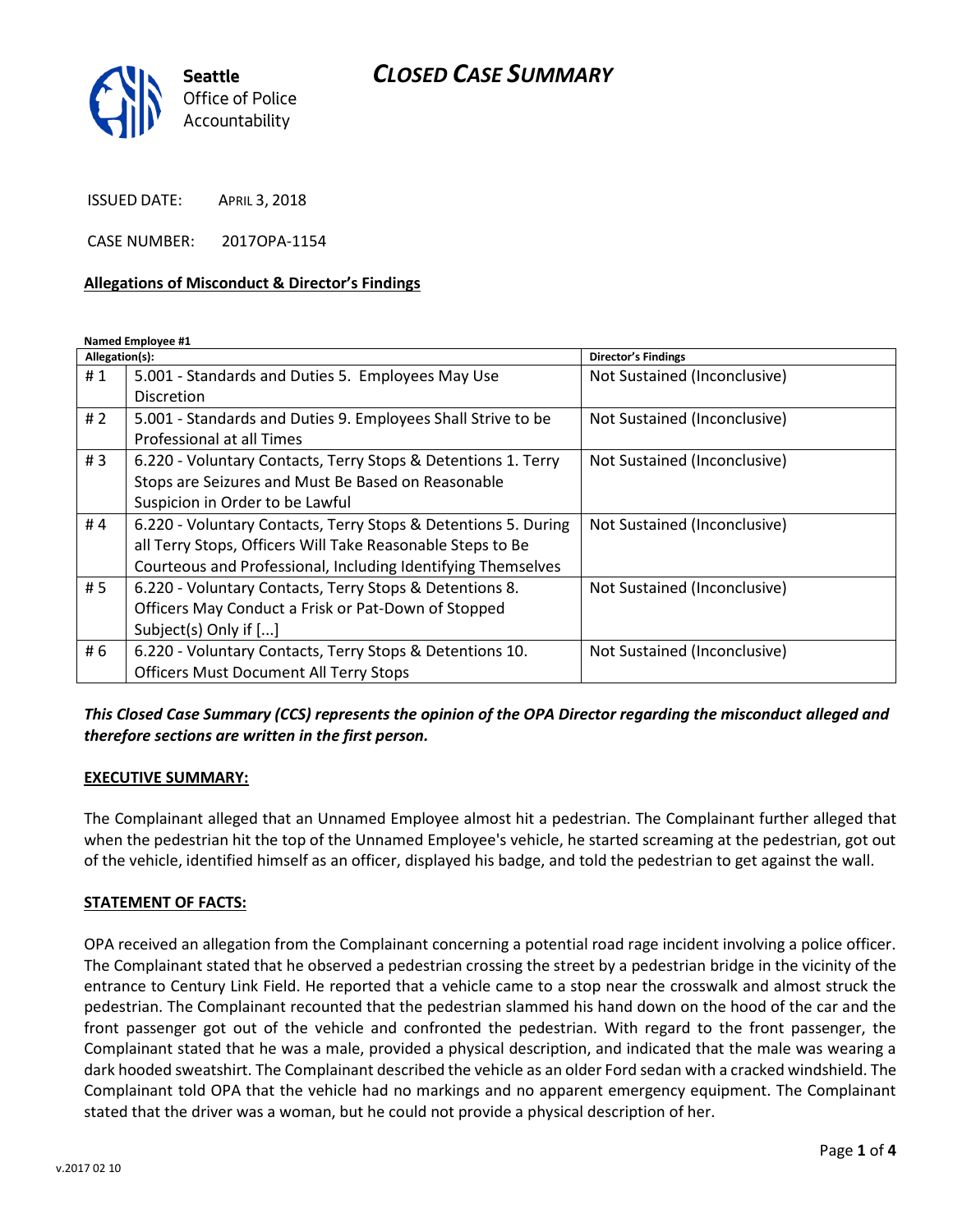# *CLOSED CASE SUMMARY*



ISSUED DATE: APRIL 3, 2018

CASE NUMBER: 2017OPA-1154

#### **Allegations of Misconduct & Director's Findings**

**Named Employee #1**

| Allegation(s): |                                                                | <b>Director's Findings</b>   |
|----------------|----------------------------------------------------------------|------------------------------|
| #1             | 5.001 - Standards and Duties 5. Employees May Use              | Not Sustained (Inconclusive) |
|                | <b>Discretion</b>                                              |                              |
| # $2$          | 5.001 - Standards and Duties 9. Employees Shall Strive to be   | Not Sustained (Inconclusive) |
|                | <b>Professional at all Times</b>                               |                              |
| #3             | 6.220 - Voluntary Contacts, Terry Stops & Detentions 1. Terry  | Not Sustained (Inconclusive) |
|                | Stops are Seizures and Must Be Based on Reasonable             |                              |
|                | Suspicion in Order to be Lawful                                |                              |
| #4             | 6.220 - Voluntary Contacts, Terry Stops & Detentions 5. During | Not Sustained (Inconclusive) |
|                | all Terry Stops, Officers Will Take Reasonable Steps to Be     |                              |
|                | Courteous and Professional, Including Identifying Themselves   |                              |
| # 5            | 6.220 - Voluntary Contacts, Terry Stops & Detentions 8.        | Not Sustained (Inconclusive) |
|                | Officers May Conduct a Frisk or Pat-Down of Stopped            |                              |
|                | Subject(s) Only if []                                          |                              |
| # 6            | 6.220 - Voluntary Contacts, Terry Stops & Detentions 10.       | Not Sustained (Inconclusive) |
|                | <b>Officers Must Document All Terry Stops</b>                  |                              |

*This Closed Case Summary (CCS) represents the opinion of the OPA Director regarding the misconduct alleged and therefore sections are written in the first person.* 

#### **EXECUTIVE SUMMARY:**

The Complainant alleged that an Unnamed Employee almost hit a pedestrian. The Complainant further alleged that when the pedestrian hit the top of the Unnamed Employee's vehicle, he started screaming at the pedestrian, got out of the vehicle, identified himself as an officer, displayed his badge, and told the pedestrian to get against the wall.

#### **STATEMENT OF FACTS:**

OPA received an allegation from the Complainant concerning a potential road rage incident involving a police officer. The Complainant stated that he observed a pedestrian crossing the street by a pedestrian bridge in the vicinity of the entrance to Century Link Field. He reported that a vehicle came to a stop near the crosswalk and almost struck the pedestrian. The Complainant recounted that the pedestrian slammed his hand down on the hood of the car and the front passenger got out of the vehicle and confronted the pedestrian. With regard to the front passenger, the Complainant stated that he was a male, provided a physical description, and indicated that the male was wearing a dark hooded sweatshirt. The Complainant described the vehicle as an older Ford sedan with a cracked windshield. The Complainant told OPA that the vehicle had no markings and no apparent emergency equipment. The Complainant stated that the driver was a woman, but he could not provide a physical description of her.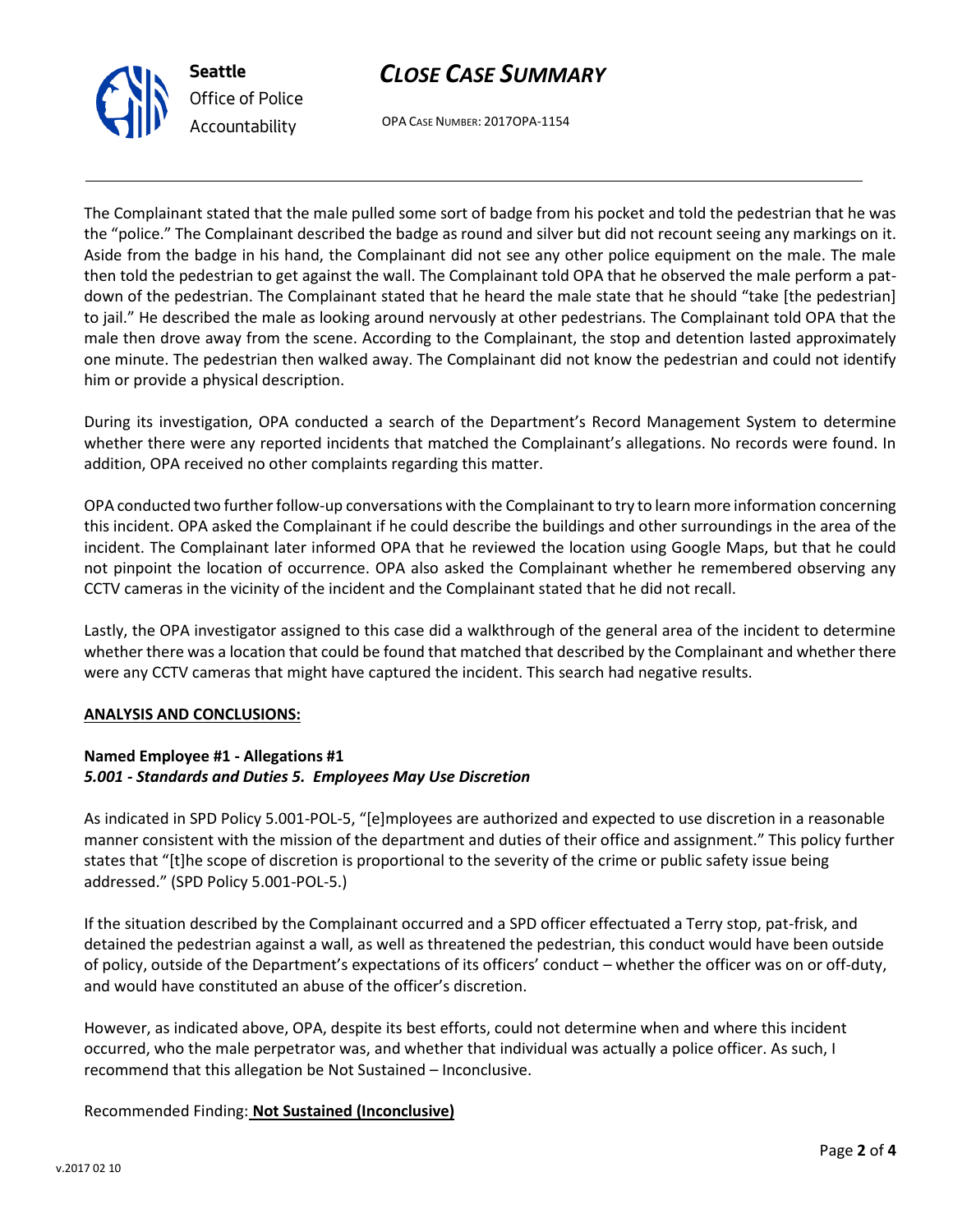



OPA CASE NUMBER: 2017OPA-1154

The Complainant stated that the male pulled some sort of badge from his pocket and told the pedestrian that he was the "police." The Complainant described the badge as round and silver but did not recount seeing any markings on it. Aside from the badge in his hand, the Complainant did not see any other police equipment on the male. The male then told the pedestrian to get against the wall. The Complainant told OPA that he observed the male perform a patdown of the pedestrian. The Complainant stated that he heard the male state that he should "take [the pedestrian] to jail." He described the male as looking around nervously at other pedestrians. The Complainant told OPA that the male then drove away from the scene. According to the Complainant, the stop and detention lasted approximately one minute. The pedestrian then walked away. The Complainant did not know the pedestrian and could not identify him or provide a physical description.

During its investigation, OPA conducted a search of the Department's Record Management System to determine whether there were any reported incidents that matched the Complainant's allegations. No records were found. In addition, OPA received no other complaints regarding this matter.

OPA conducted two further follow-up conversations with the Complainant to try to learn more information concerning this incident. OPA asked the Complainant if he could describe the buildings and other surroundings in the area of the incident. The Complainant later informed OPA that he reviewed the location using Google Maps, but that he could not pinpoint the location of occurrence. OPA also asked the Complainant whether he remembered observing any CCTV cameras in the vicinity of the incident and the Complainant stated that he did not recall.

Lastly, the OPA investigator assigned to this case did a walkthrough of the general area of the incident to determine whether there was a location that could be found that matched that described by the Complainant and whether there were any CCTV cameras that might have captured the incident. This search had negative results.

#### **ANALYSIS AND CONCLUSIONS:**

### **Named Employee #1 - Allegations #1** *5.001 - Standards and Duties 5. Employees May Use Discretion*

As indicated in SPD Policy 5.001-POL-5, "[e]mployees are authorized and expected to use discretion in a reasonable manner consistent with the mission of the department and duties of their office and assignment." This policy further states that "[t]he scope of discretion is proportional to the severity of the crime or public safety issue being addressed." (SPD Policy 5.001-POL-5.)

If the situation described by the Complainant occurred and a SPD officer effectuated a Terry stop, pat-frisk, and detained the pedestrian against a wall, as well as threatened the pedestrian, this conduct would have been outside of policy, outside of the Department's expectations of its officers' conduct – whether the officer was on or off-duty, and would have constituted an abuse of the officer's discretion.

However, as indicated above, OPA, despite its best efforts, could not determine when and where this incident occurred, who the male perpetrator was, and whether that individual was actually a police officer. As such, I recommend that this allegation be Not Sustained – Inconclusive.

## Recommended Finding: **Not Sustained (Inconclusive)**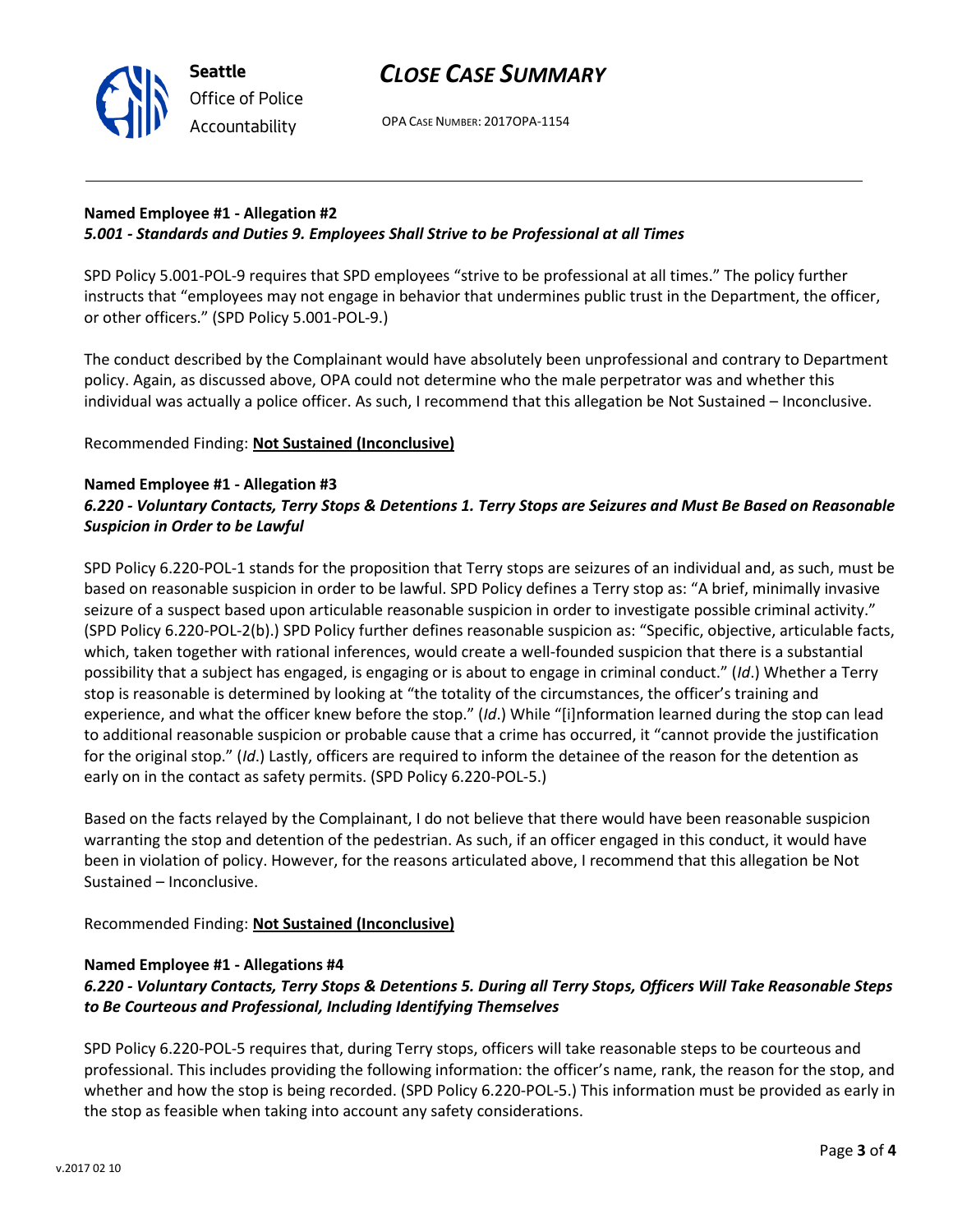

# **Named Employee #1 - Allegation #2** *5.001 - Standards and Duties 9. Employees Shall Strive to be Professional at all Times*

SPD Policy 5.001-POL-9 requires that SPD employees "strive to be professional at all times." The policy further instructs that "employees may not engage in behavior that undermines public trust in the Department, the officer, or other officers." (SPD Policy 5.001-POL-9.)

The conduct described by the Complainant would have absolutely been unprofessional and contrary to Department policy. Again, as discussed above, OPA could not determine who the male perpetrator was and whether this individual was actually a police officer. As such, I recommend that this allegation be Not Sustained – Inconclusive.

Recommended Finding: **Not Sustained (Inconclusive)**

### **Named Employee #1 - Allegation #3**

**Seattle**

*Office of Police Accountability*

# *6.220 - Voluntary Contacts, Terry Stops & Detentions 1. Terry Stops are Seizures and Must Be Based on Reasonable Suspicion in Order to be Lawful*

SPD Policy 6.220-POL-1 stands for the proposition that Terry stops are seizures of an individual and, as such, must be based on reasonable suspicion in order to be lawful. SPD Policy defines a Terry stop as: "A brief, minimally invasive seizure of a suspect based upon articulable reasonable suspicion in order to investigate possible criminal activity." (SPD Policy 6.220-POL-2(b).) SPD Policy further defines reasonable suspicion as: "Specific, objective, articulable facts, which, taken together with rational inferences, would create a well-founded suspicion that there is a substantial possibility that a subject has engaged, is engaging or is about to engage in criminal conduct." (*Id*.) Whether a Terry stop is reasonable is determined by looking at "the totality of the circumstances, the officer's training and experience, and what the officer knew before the stop." (*Id*.) While "[i]nformation learned during the stop can lead to additional reasonable suspicion or probable cause that a crime has occurred, it "cannot provide the justification for the original stop." (*Id*.) Lastly, officers are required to inform the detainee of the reason for the detention as early on in the contact as safety permits. (SPD Policy 6.220-POL-5.)

Based on the facts relayed by the Complainant, I do not believe that there would have been reasonable suspicion warranting the stop and detention of the pedestrian. As such, if an officer engaged in this conduct, it would have been in violation of policy. However, for the reasons articulated above, I recommend that this allegation be Not Sustained – Inconclusive.

Recommended Finding: **Not Sustained (Inconclusive)**

#### **Named Employee #1 - Allegations #4**

# *6.220 - Voluntary Contacts, Terry Stops & Detentions 5. During all Terry Stops, Officers Will Take Reasonable Steps to Be Courteous and Professional, Including Identifying Themselves*

SPD Policy 6.220-POL-5 requires that, during Terry stops, officers will take reasonable steps to be courteous and professional. This includes providing the following information: the officer's name, rank, the reason for the stop, and whether and how the stop is being recorded. (SPD Policy 6.220-POL-5.) This information must be provided as early in the stop as feasible when taking into account any safety considerations.